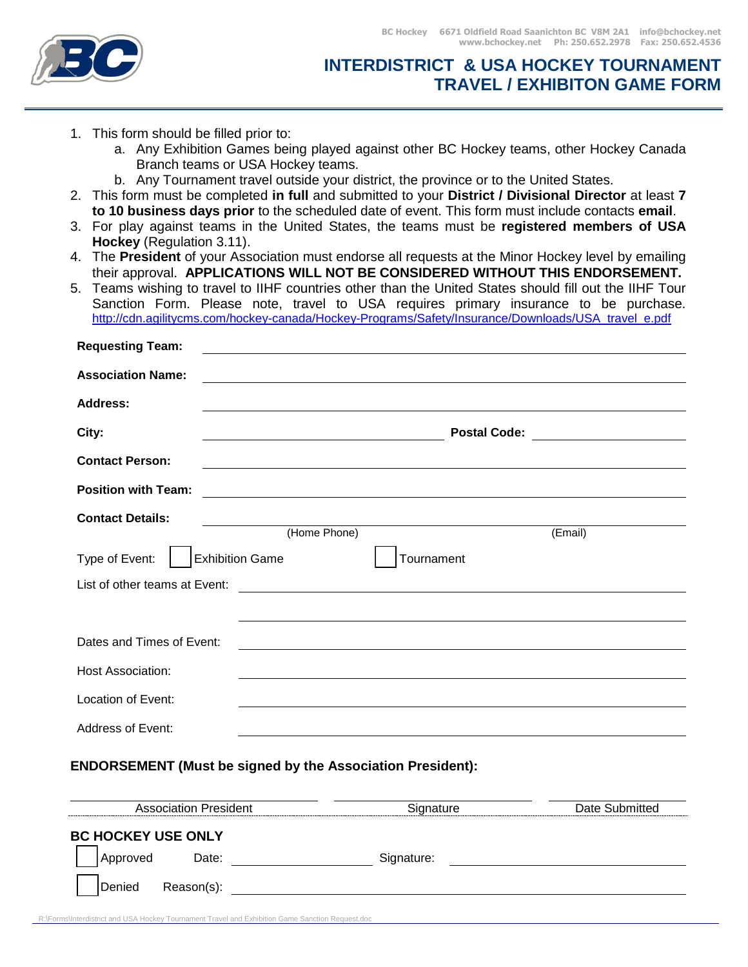

## **INTERDISTRICT & USA HOCKEY TOURNAMENT TRAVEL / EXHIBITON GAME FORM**

- 1. This form should be filled prior to:
	- a. Any Exhibition Games being played against other BC Hockey teams, other Hockey Canada Branch teams or USA Hockey teams.
	- b. Any Tournament travel outside your district, the province or to the United States.
- 2. This form must be completed **in full** and submitted to your **District / Divisional Director** at least **7 to 10 business days prior** to the scheduled date of event. This form must include contacts **email**.
- 3. For play against teams in the United States, the teams must be **registered members of USA Hockey** (Regulation 3.11).
- 4. The **President** of your Association must endorse all requests at the Minor Hockey level by emailing their approval. **APPLICATIONS WILL NOT BE CONSIDERED WITHOUT THIS ENDORSEMENT.**
- 5. Teams wishing to travel to IIHF countries other than the United States should fill out the IIHF Tour Sanction Form. Please note, travel to USA requires primary insurance to be purchase. http://cdn.agilitycms.com/hockey-canada/Hockey-Programs/Safety/Insurance/Downloads/USA\_travel\_e.pdf

| <b>Requesting Team:</b>       |                                       |                                               |         |  |
|-------------------------------|---------------------------------------|-----------------------------------------------|---------|--|
| <b>Association Name:</b>      |                                       |                                               |         |  |
| Address:                      |                                       |                                               |         |  |
| City:                         | Postal Code: ________________________ |                                               |         |  |
| <b>Contact Person:</b>        |                                       |                                               |         |  |
| <b>Position with Team:</b>    |                                       |                                               |         |  |
| <b>Contact Details:</b>       | (Home Phone)                          |                                               | (Email) |  |
| Type of Event:                | <b>Exhibition Game</b>                | Tournament                                    |         |  |
| List of other teams at Event: |                                       | <u> 1980 - Andrea Andrew Maria (h. 1980).</u> |         |  |
|                               |                                       |                                               |         |  |
| Dates and Times of Event:     |                                       |                                               |         |  |
| <b>Host Association:</b>      |                                       |                                               |         |  |
| Location of Event:            |                                       |                                               |         |  |
| Address of Event:             |                                       |                                               |         |  |

## **ENDORSEMENT (Must be signed by the Association President):**

| <b>Association President</b> | Siɑnature  | Date Submitted |
|------------------------------|------------|----------------|
| <b>BC HOCKEY USE ONLY</b>    |            |                |
| Date:<br>Approved            | Signature: |                |
| Denied<br>Reason(s):         |            |                |
|                              |            |                |